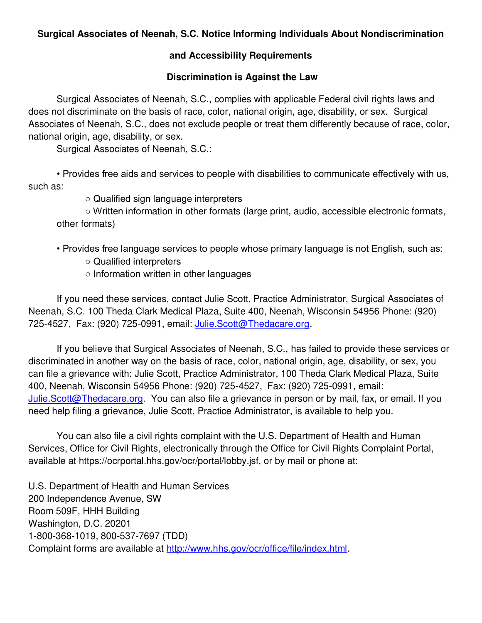## **Surgical Associates of Neenah, S.C. Notice Informing Individuals About Nondiscrimination**

## **and Accessibility Requirements**

## **Discrimination is Against the Law**

Surgical Associates of Neenah, S.C., complies with applicable Federal civil rights laws and does not discriminate on the basis of race, color, national origin, age, disability, or sex. Surgical Associates of Neenah, S.C., does not exclude people or treat them differently because of race, color, national origin, age, disability, or sex.

Surgical Associates of Neenah, S.C.:

 • Provides free aids and services to people with disabilities to communicate effectively with us, such as:

○ Qualified sign language interpreters

 ○ Written information in other formats (large print, audio, accessible electronic formats, other formats)

- Provides free language services to people whose primary language is not English, such as: ○ Qualified interpreters
	- Information written in other languages

 If you need these services, contact Julie Scott, Practice Administrator, Surgical Associates of Neenah, S.C. 100 Theda Clark Medical Plaza, Suite 400, Neenah, Wisconsin 54956 Phone: (920) 725-4527, Fax: (920) 725-0991, email: [Julie.Scott@Thedacare.org.](mailto:Julie.Scott@Thedacare.org)

If you believe that Surgical Associates of Neenah, S.C., has failed to provide these services or discriminated in another way on the basis of race, color, national origin, age, disability, or sex, you can file a grievance with: Julie Scott, Practice Administrator, 100 Theda Clark Medical Plaza, Suite 400, Neenah, Wisconsin 54956 Phone: (920) 725-4527, Fax: (920) 725-0991, email: [Julie.Scott@Thedacare.org.](mailto:Julie.Scott@Thedacare.org) You can also file a grievance in person or by mail, fax, or email. If you need help filing a grievance, Julie Scott, Practice Administrator, is available to help you.

You can also file a civil rights complaint with the U.S. Department of Health and Human Services, Office for Civil Rights, electronically through the Office for Civil Rights Complaint Portal, available at https://ocrportal.hhs.gov/ocr/portal/lobby.jsf, or by mail or phone at:

U.S. Department of Health and Human Services 200 Independence Avenue, SW Room 509F, HHH Building Washington, D.C. 20201 1-800-368-1019, 800-537-7697 (TDD) Complaint forms are available at [http://www.hhs.gov/ocr/office/file/index.html.](http://www.hhs.gov/ocr/office/file/index.html)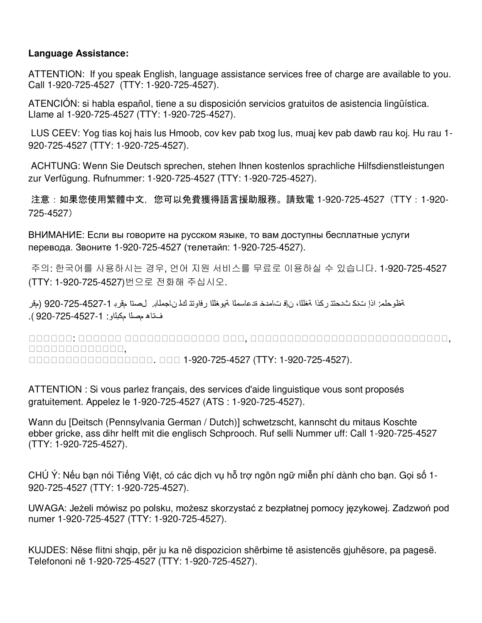## **Language Assistance:**

ATTENTION: If you speak English, language assistance services free of charge are available to you. Call 1-920-725-4527 (TTY: 1-920-725-4527).

ATENCIÓN: si habla español, tiene a su disposición servicios gratuitos de asistencia lingüística. Llame al 1-920-725-4527 (TTY: 1-920-725-4527).

 LUS CEEV: Yog tias koj hais lus Hmoob, cov kev pab txog lus, muaj kev pab dawb rau koj. Hu rau 1- 920-725-4527 (TTY: 1-920-725-4527).

 ACHTUNG: Wenn Sie Deutsch sprechen, stehen Ihnen kostenlos sprachliche Hilfsdienstleistungen zur Verfügung. Rufnummer: 1-920-725-4527 (TTY: 1-920-725-4527).

注意:如果您使用繁體中文,您可以免費獲得語言援助服務。請致電 1-920-725-4527(TTY:1-920- 725-4527)

ВНИМАНИЕ: Если вы говорите на русском языке, то вам доступны бесплатные услуги перевода. Звоните 1-920-725-4527 (телетайп: 1-920-725-4527).

주의: 한국어를 사용하시는 경우, 언어 지원 서비스를 무료로 이용하실 수 있습니다. 1-920-725-4527 (TTY: 1-920-725-4527)번으로 전화해 주십시오.

ظة وحلم: اذإ تنك ثدحتت ركذا ا ةغلل ، نإف تامدخ ةدعاسملا ةیوغللا رفاوتت كل ناجملاب. لصتا مقرب 920-725-4527-1 (مقر فتاھ مصلا مكبلاو: 920-725-4527-1 ).

: , , 0000000000000, . 1-920-725-4527 (TTY: 1-920-725-4527).

ATTENTION : Si vous parlez français, des services d'aide linguistique vous sont proposés gratuitement. Appelez le 1-920-725-4527 (ATS : 1-920-725-4527).

Wann du [Deitsch (Pennsylvania German / Dutch)] schwetzscht, kannscht du mitaus Koschte ebber gricke, ass dihr helft mit die englisch Schprooch. Ruf selli Nummer uff: Call 1-920-725-4527 (TTY: 1-920-725-4527).

CHÚ Ý: Nếu bạn nói Tiếng Việt, có các dịch vụ hỗ trợ ngôn ngữ miễn phí dành cho bạn. Gọi số 1- 920-725-4527 (TTY: 1-920-725-4527).

UWAGA: Jeżeli mówisz po polsku, możesz skorzystać z bezpłatnej pomocy językowej. Zadzwoń pod numer 1-920-725-4527 (TTY: 1-920-725-4527).

KUJDES: Nëse flitni shqip, për ju ka në dispozicion shërbime të asistencës gjuhësore, pa pagesë. Telefononi në 1-920-725-4527 (TTY: 1-920-725-4527).